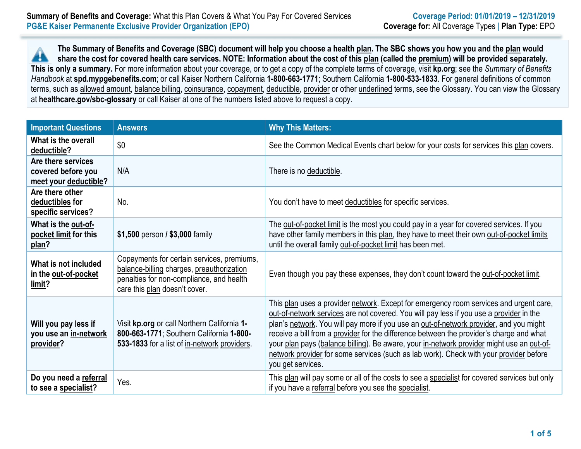**The Summary of Benefits and Coverage (SBC) document will help you choose a health plan. The SBC shows you how you and the plan would** ▲ **share the cost for covered health care services. NOTE: Information about the cost of this plan (called the premium) will be provided separately. This is only a summary.** For more information about your coverage, or to get a copy of the complete terms of coverage, visit **kp.org**; see the *Summary of Benefits Handbook* at **spd.mypgebenefits.com**; or call Kaiser Northern California **1-800-663-1771**; Southern California **1-800-533-1833**. For general definitions of common terms, such as allowed amount, balance billing, coinsurance, copayment, deductible, provider or other underlined terms, see the Glossary. You can view the Glossary at **healthcare.gov/sbc-glossary** or call Kaiser at one of the numbers listed above to request a copy.

| <b>Important Questions</b>                                        | <b>Answers</b>                                                                                                                                                       | <b>Why This Matters:</b>                                                                                                                                                                                                                                                                                                                                                                                                                                                                                                                                                            |
|-------------------------------------------------------------------|----------------------------------------------------------------------------------------------------------------------------------------------------------------------|-------------------------------------------------------------------------------------------------------------------------------------------------------------------------------------------------------------------------------------------------------------------------------------------------------------------------------------------------------------------------------------------------------------------------------------------------------------------------------------------------------------------------------------------------------------------------------------|
| What is the overall<br>deductible?                                | \$0                                                                                                                                                                  | See the Common Medical Events chart below for your costs for services this plan covers.                                                                                                                                                                                                                                                                                                                                                                                                                                                                                             |
| Are there services<br>covered before you<br>meet your deductible? | N/A                                                                                                                                                                  | There is no deductible.                                                                                                                                                                                                                                                                                                                                                                                                                                                                                                                                                             |
| Are there other<br>deductibles for<br>specific services?          | No.                                                                                                                                                                  | You don't have to meet deductibles for specific services.                                                                                                                                                                                                                                                                                                                                                                                                                                                                                                                           |
| What is the out-of-<br>pocket limit for this<br>plan?             | \$1,500 person / \$3,000 family                                                                                                                                      | The out-of-pocket limit is the most you could pay in a year for covered services. If you<br>have other family members in this plan, they have to meet their own out-of-pocket limits<br>until the overall family out-of-pocket limit has been met.                                                                                                                                                                                                                                                                                                                                  |
| What is not included<br>in the out-of-pocket<br>limit?            | Copayments for certain services, premiums,<br>balance-billing charges, preauthorization<br>penalties for non-compliance, and health<br>care this plan doesn't cover. | Even though you pay these expenses, they don't count toward the out-of-pocket limit.                                                                                                                                                                                                                                                                                                                                                                                                                                                                                                |
| Will you pay less if<br>you use an in-network<br>provider?        | Visit kp.org or call Northern California 1-<br>800-663-1771; Southern California 1-800-<br>533-1833 for a list of in-network providers.                              | This plan uses a provider network. Except for emergency room services and urgent care,<br>out-of-network services are not covered. You will pay less if you use a provider in the<br>plan's network. You will pay more if you use an out-of-network provider, and you might<br>receive a bill from a provider for the difference between the provider's charge and what<br>your plan pays (balance billing). Be aware, your in-network provider might use an out-of-<br>network provider for some services (such as lab work). Check with your provider before<br>you get services. |
| Do you need a referral<br>to see a specialist?                    | Yes.                                                                                                                                                                 | This plan will pay some or all of the costs to see a specialist for covered services but only<br>if you have a referral before you see the specialist.                                                                                                                                                                                                                                                                                                                                                                                                                              |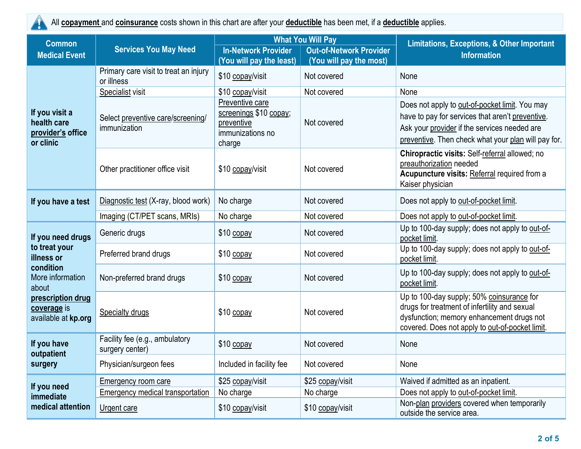

All **copayment** and **coinsurance** costs shown in this chart are after your **deductible** has been met, if a **deductible** applies.

| <b>Common</b>                                                                                                                                         |                                                   |                                                                                       | <b>What You Will Pay</b>       | <b>Limitations, Exceptions, &amp; Other Important</b>                                                                                                                                                     |  |
|-------------------------------------------------------------------------------------------------------------------------------------------------------|---------------------------------------------------|---------------------------------------------------------------------------------------|--------------------------------|-----------------------------------------------------------------------------------------------------------------------------------------------------------------------------------------------------------|--|
| <b>Medical Event</b>                                                                                                                                  | <b>Services You May Need</b>                      | <b>In-Network Provider</b>                                                            | <b>Out-of-Network Provider</b> | <b>Information</b>                                                                                                                                                                                        |  |
|                                                                                                                                                       | Primary care visit to treat an injury             | (You will pay the least)                                                              | (You will pay the most)        |                                                                                                                                                                                                           |  |
|                                                                                                                                                       | or illness                                        | \$10 copay/visit                                                                      | Not covered                    | None                                                                                                                                                                                                      |  |
|                                                                                                                                                       | Specialist visit                                  | \$10 copay/visit                                                                      | Not covered                    | None                                                                                                                                                                                                      |  |
| If you visit a<br>health care<br>provider's office<br>or clinic                                                                                       | Select preventive care/screening/<br>immunization | Preventive care<br>screenings \$10 copay;<br>preventive<br>immunizations no<br>charge | Not covered                    | Does not apply to out-of-pocket limit. You may<br>have to pay for services that aren't preventive.<br>Ask your provider if the services needed are<br>preventive. Then check what your plan will pay for. |  |
|                                                                                                                                                       | Other practitioner office visit                   | \$10 copay/visit                                                                      | Not covered                    | Chiropractic visits: Self-referral allowed; no<br>preauthorization needed<br>Acupuncture visits: Referral required from a<br>Kaiser physician                                                             |  |
| If you have a test                                                                                                                                    | Diagnostic test (X-ray, blood work)               | No charge                                                                             | Not covered                    | Does not apply to out-of-pocket limit.                                                                                                                                                                    |  |
|                                                                                                                                                       | Imaging (CT/PET scans, MRIs)                      | No charge                                                                             | Not covered                    | Does not apply to out-of-pocket limit.                                                                                                                                                                    |  |
| If you need drugs<br>to treat your<br>illness or<br>condition<br>More information<br>about<br>prescription drug<br>coverage is<br>available at kp.org | Generic drugs                                     | \$10 copay                                                                            | Not covered                    | Up to 100-day supply; does not apply to out-of-<br>pocket limit.                                                                                                                                          |  |
|                                                                                                                                                       | Preferred brand drugs                             | \$10 copay                                                                            | Not covered                    | Up to 100-day supply; does not apply to out-of-<br>pocket limit.                                                                                                                                          |  |
|                                                                                                                                                       | Non-preferred brand drugs                         | \$10 copay                                                                            | Not covered                    | Up to 100-day supply; does not apply to out-of-<br>pocket limit.                                                                                                                                          |  |
|                                                                                                                                                       | Specialty drugs                                   | \$10 copay                                                                            | Not covered                    | Up to 100-day supply; 50% coinsurance for<br>drugs for treatment of infertility and sexual<br>dysfunction; memory enhancement drugs not<br>covered. Does not apply to out-of-pocket limit.                |  |
| If you have<br>outpatient<br>surgery                                                                                                                  | Facility fee (e.g., ambulatory<br>surgery center) | \$10 copay                                                                            | Not covered                    | None                                                                                                                                                                                                      |  |
|                                                                                                                                                       | Physician/surgeon fees                            | Included in facility fee                                                              | Not covered                    | None                                                                                                                                                                                                      |  |
| If you need<br>immediate<br>medical attention                                                                                                         | <b>Emergency room care</b>                        | \$25 copay/visit                                                                      | \$25 copay/visit               | Waived if admitted as an inpatient.                                                                                                                                                                       |  |
|                                                                                                                                                       | <b>Emergency medical transportation</b>           | No charge                                                                             | No charge                      | Does not apply to out-of-pocket limit.                                                                                                                                                                    |  |
|                                                                                                                                                       | Urgent care                                       | \$10 copay/visit                                                                      | \$10 copay/visit               | Non-plan providers covered when temporarily<br>outside the service area.                                                                                                                                  |  |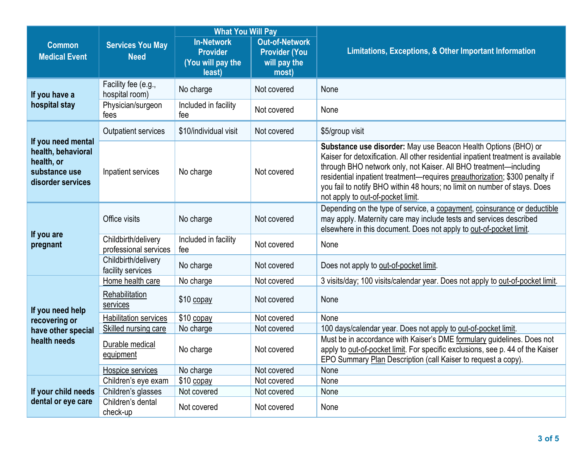|                                                                                              |                                              | <b>What You Will Pay</b>                                            |                                                                        |                                                                                                                                                                                                                                                                                                                                                                                                                           |  |  |
|----------------------------------------------------------------------------------------------|----------------------------------------------|---------------------------------------------------------------------|------------------------------------------------------------------------|---------------------------------------------------------------------------------------------------------------------------------------------------------------------------------------------------------------------------------------------------------------------------------------------------------------------------------------------------------------------------------------------------------------------------|--|--|
| <b>Common</b><br><b>Medical Event</b>                                                        | <b>Services You May</b><br><b>Need</b>       | <b>In-Network</b><br><b>Provider</b><br>(You will pay the<br>least) | <b>Out-of-Network</b><br><b>Provider (You</b><br>will pay the<br>most) | Limitations, Exceptions, & Other Important Information                                                                                                                                                                                                                                                                                                                                                                    |  |  |
| If you have a<br>hospital stay                                                               | Facility fee (e.g.,<br>hospital room)        | No charge                                                           | Not covered                                                            | None                                                                                                                                                                                                                                                                                                                                                                                                                      |  |  |
|                                                                                              | Physician/surgeon<br>fees                    | Included in facility<br>fee                                         | Not covered                                                            | None                                                                                                                                                                                                                                                                                                                                                                                                                      |  |  |
|                                                                                              | <b>Outpatient services</b>                   | \$10/individual visit                                               | Not covered                                                            | \$5/group visit                                                                                                                                                                                                                                                                                                                                                                                                           |  |  |
| If you need mental<br>health, behavioral<br>health, or<br>substance use<br>disorder services | Inpatient services                           | No charge                                                           | Not covered                                                            | Substance use disorder: May use Beacon Health Options (BHO) or<br>Kaiser for detoxification. All other residential inpatient treatment is available<br>through BHO network only, not Kaiser. All BHO treatment—including<br>residential inpatient treatment—requires preauthorization; \$300 penalty if<br>you fail to notify BHO within 48 hours; no limit on number of stays. Does<br>not apply to out-of-pocket limit. |  |  |
| If you are<br>pregnant                                                                       | Office visits                                | No charge                                                           | Not covered                                                            | Depending on the type of service, a copayment, coinsurance or deductible<br>may apply. Maternity care may include tests and services described<br>elsewhere in this document. Does not apply to out-of-pocket limit.                                                                                                                                                                                                      |  |  |
|                                                                                              | Childbirth/delivery<br>professional services | Included in facility<br>fee                                         | Not covered                                                            | None                                                                                                                                                                                                                                                                                                                                                                                                                      |  |  |
|                                                                                              | Childbirth/delivery<br>facility services     | No charge                                                           | Not covered                                                            | Does not apply to out-of-pocket limit.                                                                                                                                                                                                                                                                                                                                                                                    |  |  |
|                                                                                              | Home health care                             | No charge                                                           | Not covered                                                            | 3 visits/day; 100 visits/calendar year. Does not apply to out-of-pocket limit.                                                                                                                                                                                                                                                                                                                                            |  |  |
| If you need help<br>recovering or<br>have other special<br>health needs                      | Rehabilitation<br>services                   | \$10 copay                                                          | Not covered                                                            | None                                                                                                                                                                                                                                                                                                                                                                                                                      |  |  |
|                                                                                              | <b>Habilitation services</b>                 | \$10 copay                                                          | Not covered                                                            | None                                                                                                                                                                                                                                                                                                                                                                                                                      |  |  |
|                                                                                              | <b>Skilled nursing care</b>                  | No charge                                                           | Not covered                                                            | 100 days/calendar year. Does not apply to out-of-pocket limit.                                                                                                                                                                                                                                                                                                                                                            |  |  |
|                                                                                              | Durable medical<br>equipment                 | No charge                                                           | Not covered                                                            | Must be in accordance with Kaiser's DME formulary guidelines. Does not<br>apply to out-of-pocket limit. For specific exclusions, see p. 44 of the Kaiser<br>EPO Summary Plan Description (call Kaiser to request a copy).                                                                                                                                                                                                 |  |  |
|                                                                                              | Hospice services                             | No charge                                                           | Not covered                                                            | None                                                                                                                                                                                                                                                                                                                                                                                                                      |  |  |
| If your child needs<br>dental or eye care                                                    | Children's eye exam                          | $$10$ copay                                                         | Not covered                                                            | None                                                                                                                                                                                                                                                                                                                                                                                                                      |  |  |
|                                                                                              | Children's glasses                           | Not covered                                                         | Not covered                                                            | None                                                                                                                                                                                                                                                                                                                                                                                                                      |  |  |
|                                                                                              | Children's dental<br>check-up                | Not covered                                                         | Not covered                                                            | None                                                                                                                                                                                                                                                                                                                                                                                                                      |  |  |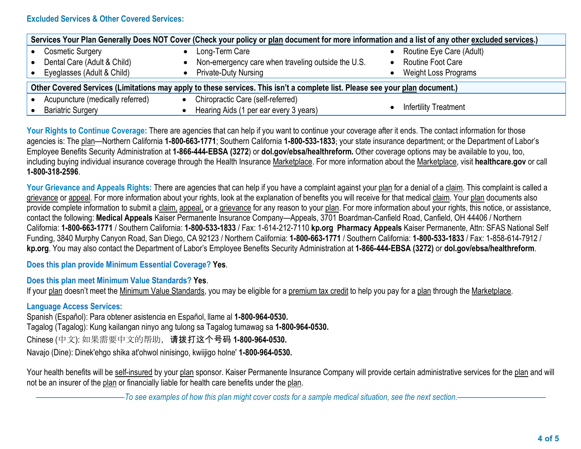# **Excluded Services & Other Covered Services:**

| Services Your Plan Generally Does NOT Cover (Check your policy or plan document for more information and a list of any other excluded services.) |                                                    |                            |  |  |  |
|--------------------------------------------------------------------------------------------------------------------------------------------------|----------------------------------------------------|----------------------------|--|--|--|
| <b>Cosmetic Surgery</b>                                                                                                                          | Long-Term Care                                     | • Routine Eye Care (Adult) |  |  |  |
| Dental Care (Adult & Child)                                                                                                                      | Non-emergency care when traveling outside the U.S. | Routine Foot Care          |  |  |  |
| Eyeglasses (Adult & Child)                                                                                                                       | <b>Private-Duty Nursing</b>                        | Weight Loss Programs       |  |  |  |
| Other Covered Services (Limitations may apply to these services. This isn't a complete list. Please see your plan document.)                     |                                                    |                            |  |  |  |
| Acupuncture (medically referred)                                                                                                                 | Chiropractic Care (self-referred)                  |                            |  |  |  |
| <b>Bariatric Surgery</b>                                                                                                                         | Hearing Aids (1 per ear every 3 years)             | Infertility Treatment      |  |  |  |

Your Rights to Continue Coverage: There are agencies that can help if you want to continue your coverage after it ends. The contact information for those agencies is: The plan—Northern California **1-800-663-1771**; Southern California **1-800-533-1833**; your state insurance department; or the Department of Labor's Employee Benefits Security Administration at **1-866-444-EBSA (3272**) or **dol.gov/ebsa/healthreform.** Other coverage options may be available to you, too, including buying individual insurance coverage through the Health Insurance Marketplace. For more information about the Marketplace, visit **healthcare.gov** or call **1-800-318-2596**.

Your Grievance and Appeals Rights: There are agencies that can help if you have a complaint against your plan for a denial of a claim. This complaint is called a grievance or appeal. For more information about your rights, look at the explanation of benefits you will receive for that medical claim. Your plan documents also provide complete information to submit a claim, appeal, or a grievance for any reason to your plan. For more information about your rights, this notice, or assistance, contact the following: **Medical Appeals** Kaiser Permanente Insurance Company—Appeals, 3701 Boardman-Canfield Road, Canfield, OH 44406 / Northern California: **1-800-663-1771** / Southern California: **1-800-533-1833** / Fax: 1-614-212-7110 **kp.org Pharmacy Appeals** Kaiser Permanente, Attn: SFAS National Self Funding, 3840 Murphy Canyon Road, San Diego, CA 92123 / Northern California: **1-800-663-1771** / Southern California: **1-800-533-1833** / Fax: 1-858-614-7912 / **kp.org**. You may also contact the Department of Labor's Employee Benefits Security Administration at **1-866-444-EBSA (3272)** or **dol.gov/ebsa/healthreform**.

#### **Does this plan provide Minimum Essential Coverage? Yes**.

### **Does this plan meet Minimum Value Standards? Yes**.

If your plan doesn't meet the Minimum Value Standards, you may be eligible for a premium tax credit to help you pay for a plan through the Marketplace.

# **Language Access Services:**

Spanish (Español): Para obtener asistencia en Español, llame al **1-800-964-0530.** Tagalog (Tagalog): Kung kailangan ninyo ang tulong sa Tagalog tumawag sa **1-800-964-0530.** Chinese (中文): 如果需要中文的帮助,请拨打这个号码 **1-800-964-0530.** Navajo (Dine): Dinek'ehgo shika at'ohwol ninisingo, kwiijigo holne' **1-800-964-0530.**

Your health benefits will be self-insured by your plan sponsor. Kaiser Permanente Insurance Company will provide certain administrative services for the plan and will not be an insurer of the plan or financially liable for health care benefits under the plan.

––––––––––––––––––––––*To see examples of how this plan might cover costs for a sample medical situation, see the next section.–––––––––––*–––––––––––